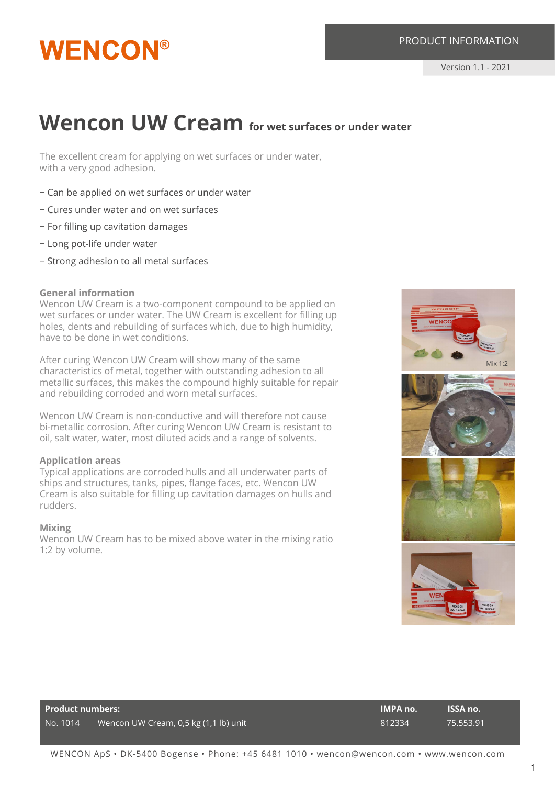#### PRODUCT INFORMATION

## **WENCON®**

### **Wencon UW Cream** for wet surfaces or under water

The excellent cream for applying on wet surfaces or under water, with a very good adhesion.

- − Can be applied on wet surfaces or under water
- − Cures under water and on wet surfaces
- − For filling up cavitation damages
- − Long pot-life under water
- − Strong adhesion to all metal surfaces

#### **General information**

Wencon UW Cream is a two-component compound to be applied on wet surfaces or under water. The UW Cream is excellent for filling up holes, dents and rebuilding of surfaces which, due to high humidity, have to be done in wet conditions.

After curing Wencon UW Cream will show many of the same characteristics of metal, together with outstanding adhesion to all metallic surfaces, this makes the compound highly suitable for repair and rebuilding corroded and worn metal surfaces.

Wencon UW Cream is non-conductive and will therefore not cause bi-metallic corrosion. After curing Wencon UW Cream is resistant to oil, salt water, water, most diluted acids and a range of solvents.

#### **Application areas**

Typical applications are corroded hulls and all underwater parts of ships and structures, tanks, pipes, flange faces, etc. Wencon UW Cream is also suitable for filling up cavitation damages on hulls and rudders.

#### **Mixing**

Wencon UW Cream has to be mixed above water in the mixing ratio 1:2 by volume.



| Product numbers: |                                       | <b>IMPA no.</b> | <b>ISSA no.</b> |
|------------------|---------------------------------------|-----------------|-----------------|
| No. 1014         | Wencon UW Cream, 0,5 kg (1,1 lb) unit | 812334          | 75.553.91       |